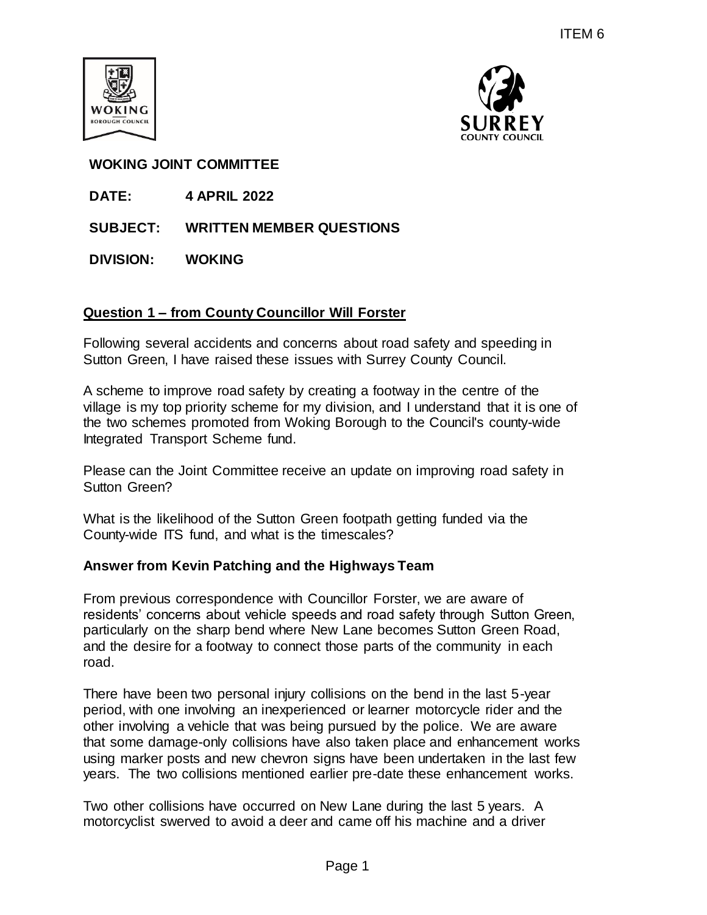



# **WOKING JOINT COMMITTEE**

- **DATE: 4 APRIL 2022**
- **SUBJECT: WRITTEN MEMBER QUESTIONS**
- **DIVISION: WOKING**

# **Question 1 – from County Councillor Will Forster**

Following several accidents and concerns about road safety and speeding in Sutton Green, I have raised these issues with Surrey County Council.

A scheme to improve road safety by creating a footway in the centre of the village is my top priority scheme for my division, and I understand that it is one of the two schemes promoted from Woking Borough to the Council's county-wide Integrated Transport Scheme fund.

Please can the Joint Committee receive an update on improving road safety in Sutton Green?

What is the likelihood of the Sutton Green footpath getting funded via the County-wide ITS fund, and what is the timescales?

# **Answer from Kevin Patching and the Highways Team**

From previous correspondence with Councillor Forster, we are aware of residents' concerns about vehicle speeds and road safety through Sutton Green, particularly on the sharp bend where New Lane becomes Sutton Green Road, and the desire for a footway to connect those parts of the community in each road.

There have been two personal injury collisions on the bend in the last 5-year period, with one involving an inexperienced or learner motorcycle rider and the other involving a vehicle that was being pursued by the police. We are aware that some damage-only collisions have also taken place and enhancement works using marker posts and new chevron signs have been undertaken in the last few years. The two collisions mentioned earlier pre-date these enhancement works. ITEM 6<br>
SURREY<br>
SURREY<br>
Will Forster<br>
may about road safety and speeding in<br>
swith Surrey County Council.<br>
ating a footway in the centre of the<br>
division, and I understand that it is one of<br>
Borough to the Council's county

Two other collisions have occurred on New Lane during the last 5 years. A motorcyclist swerved to avoid a deer and came off his machine and a driver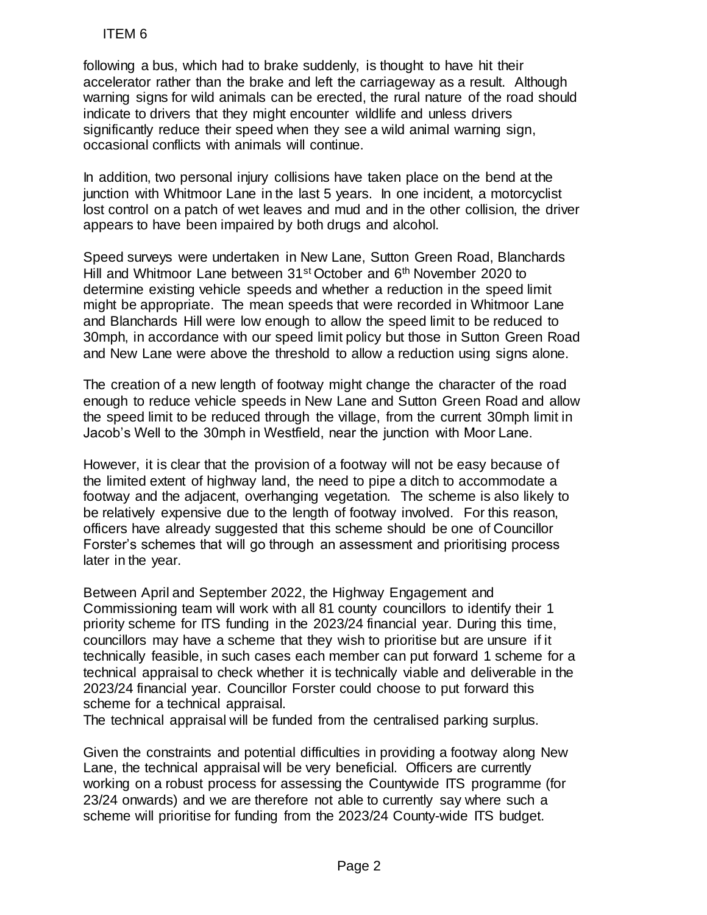following a bus, which had to brake suddenly, is thought to have hit their accelerator rather than the brake and left the carriageway as a result. Although warning signs for wild animals can be erected, the rural nature of the road should indicate to drivers that they might encounter wildlife and unless drivers significantly reduce their speed when they see a wild animal warning sign, occasional conflicts with animals will continue.

In addition, two personal injury collisions have taken place on the bend at the junction with Whitmoor Lane in the last 5 years. In one incident, a motorcyclist lost control on a patch of wet leaves and mud and in the other collision, the driver appears to have been impaired by both drugs and alcohol.

Speed surveys were undertaken in New Lane, Sutton Green Road, Blanchards Hill and Whitmoor Lane between 31<sup>st</sup> October and 6<sup>th</sup> November 2020 to determine existing vehicle speeds and whether a reduction in the speed limit might be appropriate. The mean speeds that were recorded in Whitmoor Lane and Blanchards Hill were low enough to allow the speed limit to be reduced to 30mph, in accordance with our speed limit policy but those in Sutton Green Road and New Lane were above the threshold to allow a reduction using signs alone.

The creation of a new length of footway might change the character of the road enough to reduce vehicle speeds in New Lane and Sutton Green Road and allow the speed limit to be reduced through the village, from the current 30mph limit in Jacob's Well to the 30mph in Westfield, near the junction with Moor Lane.

However, it is clear that the provision of a footway will not be easy because of the limited extent of highway land, the need to pipe a ditch to accommodate a footway and the adjacent, overhanging vegetation. The scheme is also likely to be relatively expensive due to the length of footway involved. For this reason, officers have already suggested that this scheme should be one of Councillor Forster's schemes that will go through an assessment and prioritising process later in the year.

Between April and September 2022, the Highway Engagement and Commissioning team will work with all 81 county councillors to identify their 1 priority scheme for ITS funding in the 2023/24 financial year. During this time, councillors may have a scheme that they wish to prioritise but are unsure if it technically feasible, in such cases each member can put forward 1 scheme for a technical appraisal to check whether it is technically viable and deliverable in the 2023/24 financial year. Councillor Forster could choose to put forward this scheme for a technical appraisal. ITEM 6<br>
moving a bus, which had to brake suddenly, is<br>
enterator rather than the brake and left the care<br>
rather and the care of the care of the care of the care of the care<br>
criging signs for wild animals can be erected,

The technical appraisal will be funded from the centralised parking surplus.

Given the constraints and potential difficulties in providing a footway along New Lane, the technical appraisal will be very beneficial. Officers are currently working on a robust process for assessing the Countywide ITS programme (for 23/24 onwards) and we are therefore not able to currently say where such a scheme will prioritise for funding from the 2023/24 County-wide ITS budget.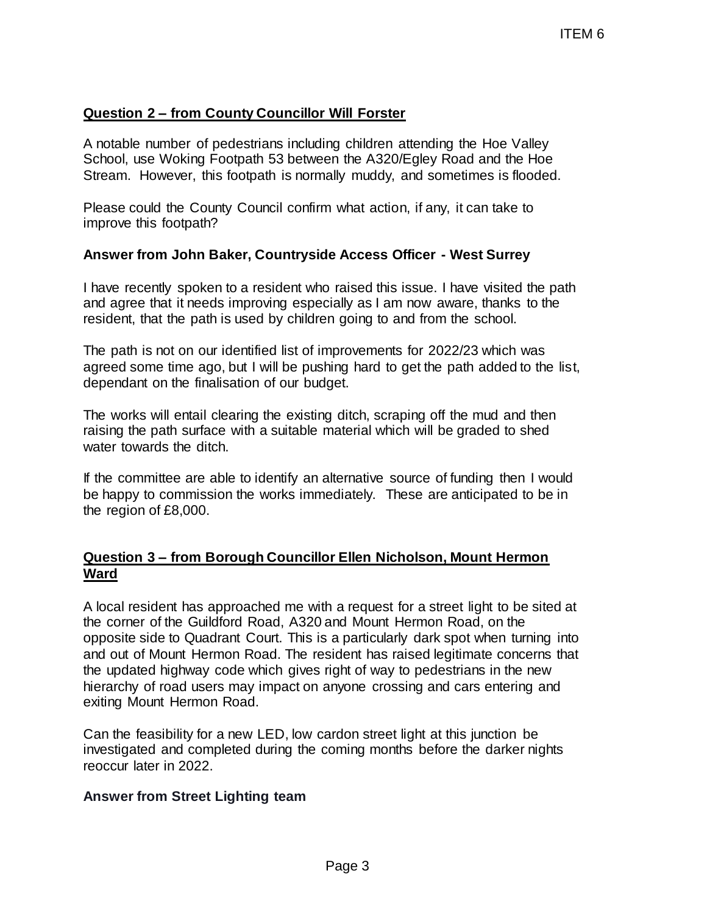# **Question 2 – from County Councillor Will Forster**

A notable number of pedestrians including children attending the Hoe Valley School, use Woking Footpath 53 between the A320/Egley Road and the Hoe Stream. However, this footpath is normally muddy, and sometimes is flooded.

Please could the County Council confirm what action, if any, it can take to improve this footpath?

# **Answer from John Baker, Countryside Access Officer - West Surrey**

I have recently spoken to a resident who raised this issue. I have visited the path and agree that it needs improving especially as I am now aware, thanks to the resident, that the path is used by children going to and from the school.

The path is not on our identified list of improvements for 2022/23 which was agreed some time ago, but I will be pushing hard to get the path added to the list, dependant on the finalisation of our budget.

The works will entail clearing the existing ditch, scraping off the mud and then raising the path surface with a suitable material which will be graded to shed water towards the ditch.

If the committee are able to identify an alternative source of funding then I would be happy to commission the works immediately. These are anticipated to be in the region of £8,000.

# **Question 3 – from Borough Councillor Ellen Nicholson, Mount Hermon Ward**

A local resident has approached me with a request for a street light to be sited at the corner of the Guildford Road, A320 and Mount Hermon Road, on the opposite side to Quadrant Court. This is a particularly dark spot when turning into and out of Mount Hermon Road. The resident has raised legitimate concerns that the updated highway code which gives right of way to pedestrians in the new hierarchy of road users may impact on anyone crossing and cars entering and exiting Mount Hermon Road. ITEM 6<br>
Will Forster<br>
mg children attending the Hoe Valley<br>
enh the A320/Egley Road and the Hoe<br>
ally muddy, and sometimes is flooded.<br>
n what action, if any, it can take to<br>
le Access Officer - West Surrey<br>
praised this i

Can the feasibility for a new LED, low cardon street light at this junction be investigated and completed during the coming months before the darker nights reoccur later in 2022.

#### **Answer from Street Lighting team**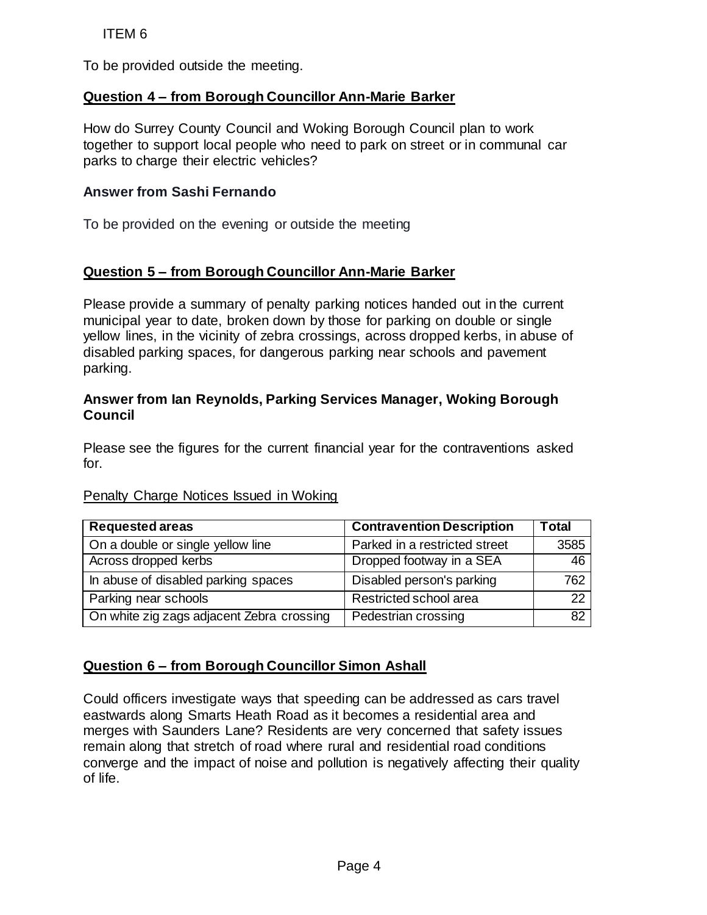### **Question 4 – from Borough Councillor Ann-Marie Barker**

#### **Answer from Sashi Fernando**

# **Question 5 – from Borough Councillor Ann-Marie Barker**

### **Answer from Ian Reynolds, Parking Services Manager, Woking Borough Council**

#### Penalty Charge Notices Issued in Woking

| <b>ITEM6</b>                                                                                                                                                                                                                                                                                                                                                                                                                                                                           |                                  |              |
|----------------------------------------------------------------------------------------------------------------------------------------------------------------------------------------------------------------------------------------------------------------------------------------------------------------------------------------------------------------------------------------------------------------------------------------------------------------------------------------|----------------------------------|--------------|
| To be provided outside the meeting.                                                                                                                                                                                                                                                                                                                                                                                                                                                    |                                  |              |
| Question 4 – from Borough Councillor Ann-Marie Barker                                                                                                                                                                                                                                                                                                                                                                                                                                  |                                  |              |
| How do Surrey County Council and Woking Borough Council plan to work<br>together to support local people who need to park on street or in communal car<br>parks to charge their electric vehicles?                                                                                                                                                                                                                                                                                     |                                  |              |
| <b>Answer from Sashi Fernando</b>                                                                                                                                                                                                                                                                                                                                                                                                                                                      |                                  |              |
| To be provided on the evening or outside the meeting                                                                                                                                                                                                                                                                                                                                                                                                                                   |                                  |              |
| Question 5 - from Borough Councillor Ann-Marie Barker                                                                                                                                                                                                                                                                                                                                                                                                                                  |                                  |              |
| Please provide a summary of penalty parking notices handed out in the current<br>municipal year to date, broken down by those for parking on double or single<br>yellow lines, in the vicinity of zebra crossings, across dropped kerbs, in abuse of<br>disabled parking spaces, for dangerous parking near schools and pavement<br>parking.                                                                                                                                           |                                  |              |
| Answer from Ian Reynolds, Parking Services Manager, Woking Borough<br><b>Council</b>                                                                                                                                                                                                                                                                                                                                                                                                   |                                  |              |
| Please see the figures for the current financial year for the contraventions asked<br>for.                                                                                                                                                                                                                                                                                                                                                                                             |                                  |              |
| Penalty Charge Notices Issued in Woking                                                                                                                                                                                                                                                                                                                                                                                                                                                |                                  |              |
| <b>Requested areas</b>                                                                                                                                                                                                                                                                                                                                                                                                                                                                 | <b>Contravention Description</b> | <b>Total</b> |
| On a double or single yellow line                                                                                                                                                                                                                                                                                                                                                                                                                                                      | Parked in a restricted street    | 3585         |
| Across dropped kerbs                                                                                                                                                                                                                                                                                                                                                                                                                                                                   | Dropped footway in a SEA         | 46           |
| In abuse of disabled parking spaces                                                                                                                                                                                                                                                                                                                                                                                                                                                    | Disabled person's parking        | 762          |
| Parking near schools                                                                                                                                                                                                                                                                                                                                                                                                                                                                   | Restricted school area           | 22           |
| On white zig zags adjacent Zebra crossing                                                                                                                                                                                                                                                                                                                                                                                                                                              | Pedestrian crossing              | 82           |
| <b>Question 6 - from Borough Councillor Simon Ashall</b><br>Could officers investigate ways that speeding can be addressed as cars travel<br>eastwards along Smarts Heath Road as it becomes a residential area and<br>merges with Saunders Lane? Residents are very concerned that safety issues<br>remain along that stretch of road where rural and residential road conditions<br>converge and the impact of noise and pollution is negatively affecting their quality<br>of life. |                                  |              |
|                                                                                                                                                                                                                                                                                                                                                                                                                                                                                        | Page 4                           |              |

# **Question 6 – from Borough Councillor Simon Ashall**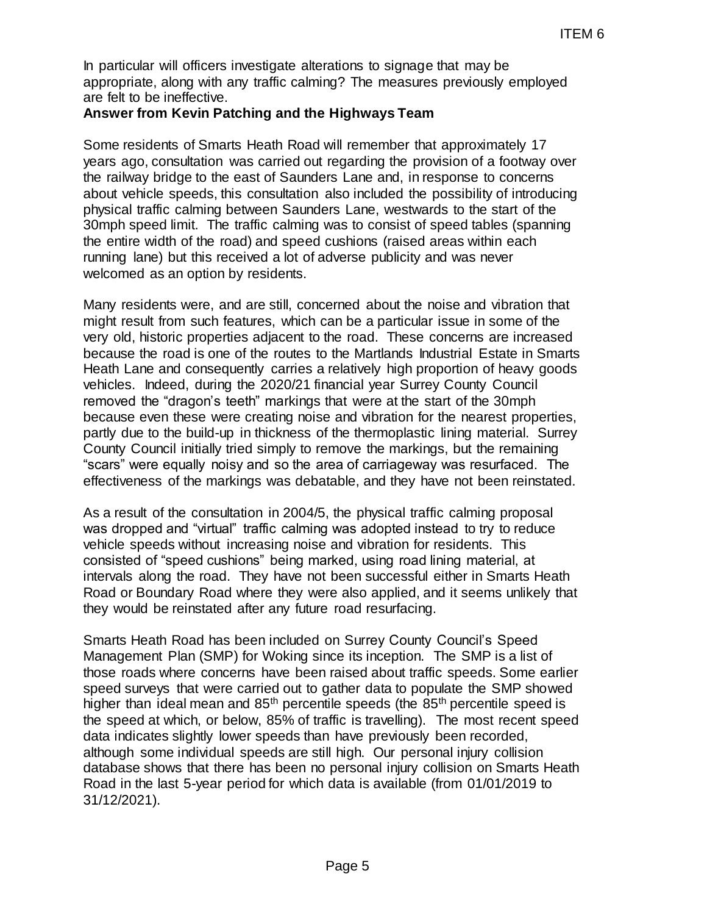In particular will officers investigate alterations to signage that may be appropriate, along with any traffic calming? The measures previously employed are felt to be ineffective.

#### **Answer from Kevin Patching and the Highways Team**

Some residents of Smarts Heath Road will remember that approximately 17 years ago, consultation was carried out regarding the provision of a footway over the railway bridge to the east of Saunders Lane and, in response to concerns about vehicle speeds, this consultation also included the possibility of introducing physical traffic calming between Saunders Lane, westwards to the start of the 30mph speed limit. The traffic calming was to consist of speed tables (spanning the entire width of the road) and speed cushions (raised areas within each running lane) but this received a lot of adverse publicity and was never welcomed as an option by residents.

Many residents were, and are still, concerned about the noise and vibration that might result from such features, which can be a particular issue in some of the very old, historic properties adjacent to the road. These concerns are increased because the road is one of the routes to the Martlands Industrial Estate in Smarts Heath Lane and consequently carries a relatively high proportion of heavy goods vehicles. Indeed, during the 2020/21 financial year Surrey County Council removed the "dragon's teeth" markings that were at the start of the 30mph because even these were creating noise and vibration for the nearest properties, partly due to the build-up in thickness of the thermoplastic lining material. Surrey County Council initially tried simply to remove the markings, but the remaining "scars" were equally noisy and so the area of carriageway was resurfaced. The effectiveness of the markings was debatable, and they have not been reinstated. ITEM 6<br>
TIEM 6<br>
Fighways Team<br>
Fighways Team<br>
Highways Team<br>
Highways Team<br>
Highways Team<br>
Highways Team<br>
mill remember that approximately 17<br>
respecting<br>
also included the possibility of introducing<br>
also included the pos

As a result of the consultation in 2004/5, the physical traffic calming proposal was dropped and "virtual" traffic calming was adopted instead to try to reduce vehicle speeds without increasing noise and vibration for residents. This consisted of "speed cushions" being marked, using road lining material, at intervals along the road. They have not been successful either in Smarts Heath Road or Boundary Road where they were also applied, and it seems unlikely that they would be reinstated after any future road resurfacing.

Smarts Heath Road has been included on Surrey County Council's Speed Management Plan (SMP) for Woking since its inception. The SMP is a list of those roads where concerns have been raised about traffic speeds. Some earlier speed surveys that were carried out to gather data to populate the SMP showed higher than ideal mean and  $85<sup>th</sup>$  percentile speeds (the  $85<sup>th</sup>$  percentile speed is the speed at which, or below, 85% of traffic is travelling). The most recent speed data indicates slightly lower speeds than have previously been recorded, although some individual speeds are still high. Our personal injury collision database shows that there has been no personal injury collision on Smarts Heath Road in the last 5-year period for which data is available (from 01/01/2019 to 31/12/2021).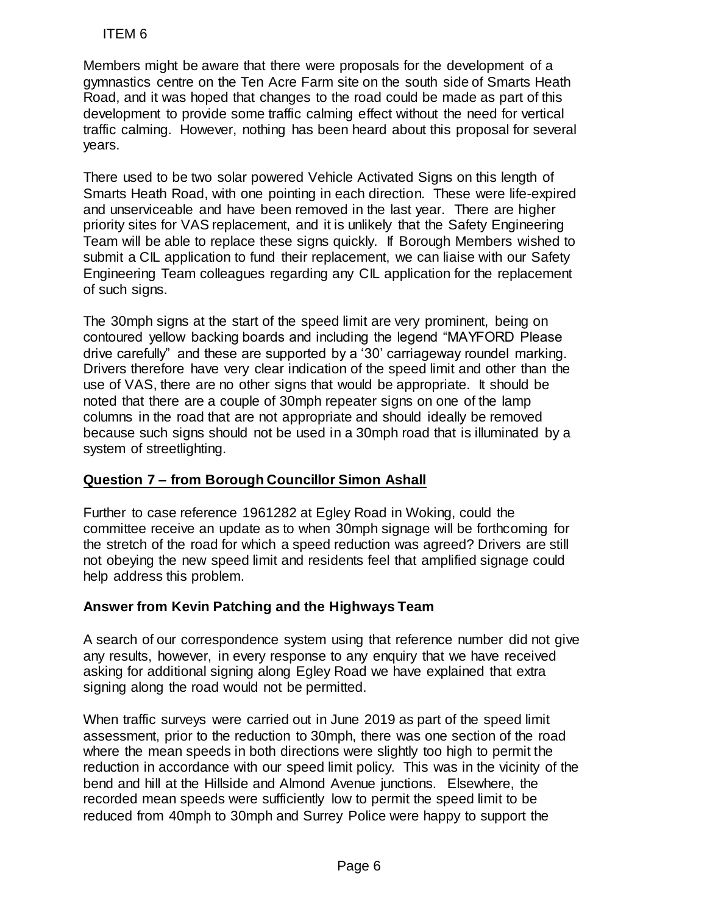Members might be aware that there were proposals for the development of a gymnastics centre on the Ten Acre Farm site on the south side of Smarts Heath Road, and it was hoped that changes to the road could be made as part of this development to provide some traffic calming effect without the need for vertical traffic calming. However, nothing has been heard about this proposal for several years.

There used to be two solar powered Vehicle Activated Signs on this length of Smarts Heath Road, with one pointing in each direction. These were life-expired and unserviceable and have been removed in the last year. There are higher priority sites for VAS replacement, and it is unlikely that the Safety Engineering Team will be able to replace these signs quickly. If Borough Members wished to submit a CIL application to fund their replacement, we can liaise with our Safety Engineering Team colleagues regarding any CIL application for the replacement of such signs.

The 30mph signs at the start of the speed limit are very prominent, being on contoured yellow backing boards and including the legend "MAYFORD Please drive carefully" and these are supported by a '30' carriageway roundel marking. Drivers therefore have very clear indication of the speed limit and other than the use of VAS, there are no other signs that would be appropriate. It should be noted that there are a couple of 30mph repeater signs on one of the lamp columns in the road that are not appropriate and should ideally be removed because such signs should not be used in a 30mph road that is illuminated by a system of streetlighting. ITEM 6<br>
Imbers might be aware that there were propositions centere on the Ten Acce Farm site on<br>
and, and it was hoped that changes to the road<br>
relogionent to provide some traffic calming effect calming and<br>
fic calming.

# **Question 7 – from Borough Councillor Simon Ashall**

Further to case reference 1961282 at Egley Road in Woking, could the committee receive an update as to when 30mph signage will be forthcoming for the stretch of the road for which a speed reduction was agreed? Drivers are still not obeying the new speed limit and residents feel that amplified signage could help address this problem.

#### **Answer from Kevin Patching and the Highways Team**

A search of our correspondence system using that reference number did not give any results, however, in every response to any enquiry that we have received asking for additional signing along Egley Road we have explained that extra signing along the road would not be permitted.

When traffic surveys were carried out in June 2019 as part of the speed limit assessment, prior to the reduction to 30mph, there was one section of the road where the mean speeds in both directions were slightly too high to permit the reduction in accordance with our speed limit policy. This was in the vicinity of the bend and hill at the Hillside and Almond Avenue junctions. Elsewhere, the recorded mean speeds were sufficiently low to permit the speed limit to be reduced from 40mph to 30mph and Surrey Police were happy to support the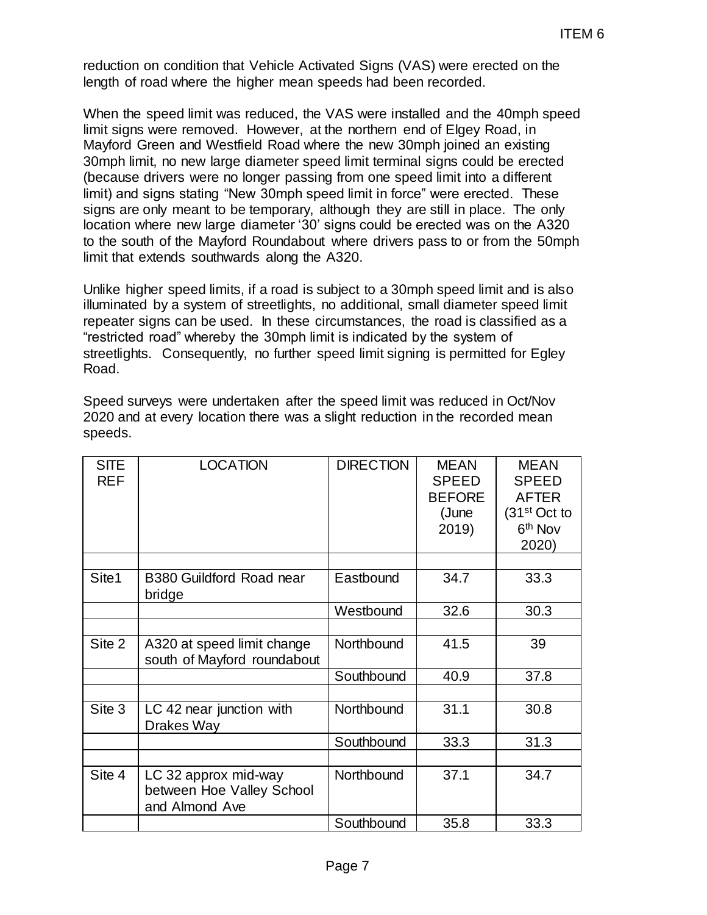|                           |                                                                                                                                                                                                                                                                                                                                                                                                                                                                                                                                                                                                                                                                                                                                                                                                 |                  |                                                                | <b>ITEM6</b>                                                                                            |
|---------------------------|-------------------------------------------------------------------------------------------------------------------------------------------------------------------------------------------------------------------------------------------------------------------------------------------------------------------------------------------------------------------------------------------------------------------------------------------------------------------------------------------------------------------------------------------------------------------------------------------------------------------------------------------------------------------------------------------------------------------------------------------------------------------------------------------------|------------------|----------------------------------------------------------------|---------------------------------------------------------------------------------------------------------|
|                           | reduction on condition that Vehicle Activated Signs (VAS) were erected on the<br>length of road where the higher mean speeds had been recorded.                                                                                                                                                                                                                                                                                                                                                                                                                                                                                                                                                                                                                                                 |                  |                                                                |                                                                                                         |
|                           | When the speed limit was reduced, the VAS were installed and the 40mph speed<br>limit signs were removed. However, at the northern end of Elgey Road, in<br>Mayford Green and Westfield Road where the new 30mph joined an existing<br>30mph limit, no new large diameter speed limit terminal signs could be erected<br>(because drivers were no longer passing from one speed limit into a different<br>limit) and signs stating "New 30mph speed limit in force" were erected. These<br>signs are only meant to be temporary, although they are still in place. The only<br>location where new large diameter '30' signs could be erected was on the A320<br>to the south of the Mayford Roundabout where drivers pass to or from the 50mph<br>limit that extends southwards along the A320. |                  |                                                                |                                                                                                         |
| Road.                     | Unlike higher speed limits, if a road is subject to a 30mph speed limit and is also<br>illuminated by a system of streetlights, no additional, small diameter speed limit<br>repeater signs can be used. In these circumstances, the road is classified as a<br>"restricted road" whereby the 30mph limit is indicated by the system of<br>streetlights. Consequently, no further speed limit signing is permitted for Egley                                                                                                                                                                                                                                                                                                                                                                    |                  |                                                                |                                                                                                         |
|                           | Speed surveys were undertaken after the speed limit was reduced in Oct/Nov                                                                                                                                                                                                                                                                                                                                                                                                                                                                                                                                                                                                                                                                                                                      |                  |                                                                |                                                                                                         |
| speeds.                   | 2020 and at every location there was a slight reduction in the recorded mean                                                                                                                                                                                                                                                                                                                                                                                                                                                                                                                                                                                                                                                                                                                    |                  |                                                                |                                                                                                         |
| <b>SITE</b><br><b>REF</b> | <b>LOCATION</b>                                                                                                                                                                                                                                                                                                                                                                                                                                                                                                                                                                                                                                                                                                                                                                                 | <b>DIRECTION</b> | <b>MEAN</b><br><b>SPEED</b><br><b>BEFORE</b><br>(June<br>2019) | <b>MEAN</b><br><b>SPEED</b><br><b>AFTER</b><br>(31 <sup>st</sup> Oct to<br>6 <sup>th</sup> Nov<br>2020) |
| Site1                     | <b>B380 Guildford Road near</b>                                                                                                                                                                                                                                                                                                                                                                                                                                                                                                                                                                                                                                                                                                                                                                 | Eastbound        | 34.7                                                           | 33.3                                                                                                    |
|                           | bridge                                                                                                                                                                                                                                                                                                                                                                                                                                                                                                                                                                                                                                                                                                                                                                                          | Westbound        | 32.6                                                           | 30.3                                                                                                    |
| Site 2                    | A320 at speed limit change                                                                                                                                                                                                                                                                                                                                                                                                                                                                                                                                                                                                                                                                                                                                                                      | Northbound       | 41.5                                                           | 39                                                                                                      |
|                           | south of Mayford roundabout                                                                                                                                                                                                                                                                                                                                                                                                                                                                                                                                                                                                                                                                                                                                                                     | Southbound       | 40.9                                                           | 37.8                                                                                                    |
| Site 3                    | LC 42 near junction with                                                                                                                                                                                                                                                                                                                                                                                                                                                                                                                                                                                                                                                                                                                                                                        | Northbound       | 31.1                                                           | 30.8                                                                                                    |
|                           | Drakes Way                                                                                                                                                                                                                                                                                                                                                                                                                                                                                                                                                                                                                                                                                                                                                                                      | Southbound       | 33.3                                                           | 31.3                                                                                                    |
| Site 4                    | LC 32 approx mid-way<br>between Hoe Valley School<br>and Almond Ave                                                                                                                                                                                                                                                                                                                                                                                                                                                                                                                                                                                                                                                                                                                             | Northbound       | 37.1                                                           | 34.7                                                                                                    |